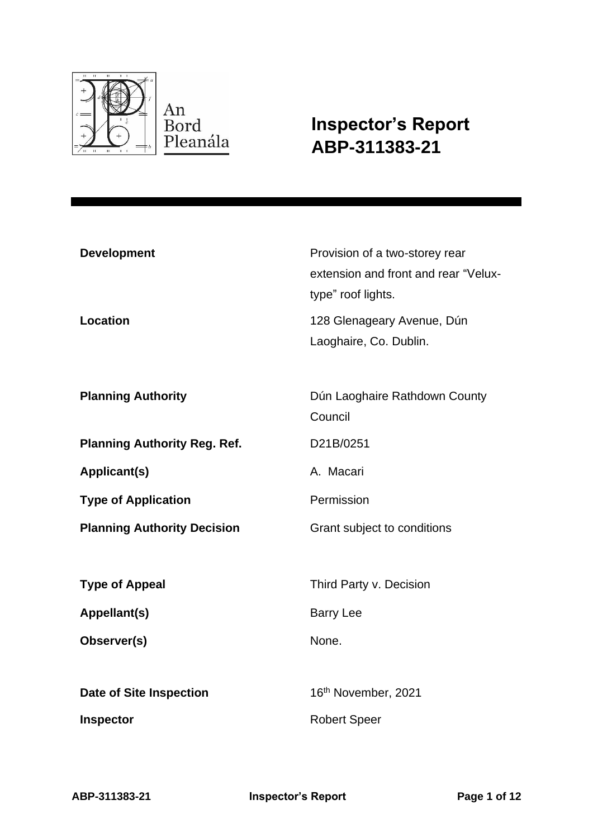

**Inspector's Report ABP-311383-21**

| <b>Development</b><br><b>Location</b> | Provision of a two-storey rear<br>extension and front and rear "Velux-<br>type" roof lights.<br>128 Glenageary Avenue, Dún<br>Laoghaire, Co. Dublin. |
|---------------------------------------|------------------------------------------------------------------------------------------------------------------------------------------------------|
| <b>Planning Authority</b>             | Dún Laoghaire Rathdown County<br>Council                                                                                                             |
| <b>Planning Authority Reg. Ref.</b>   | D21B/0251                                                                                                                                            |
| <b>Applicant(s)</b>                   | A. Macari                                                                                                                                            |
| <b>Type of Application</b>            | Permission                                                                                                                                           |
| <b>Planning Authority Decision</b>    | Grant subject to conditions                                                                                                                          |
|                                       |                                                                                                                                                      |
| <b>Type of Appeal</b>                 | Third Party v. Decision                                                                                                                              |
| Appellant(s)                          | <b>Barry Lee</b>                                                                                                                                     |
| Observer(s)                           | None.                                                                                                                                                |
|                                       |                                                                                                                                                      |
| <b>Date of Site Inspection</b>        | 16 <sup>th</sup> November, 2021                                                                                                                      |
| Inspector                             | <b>Robert Speer</b>                                                                                                                                  |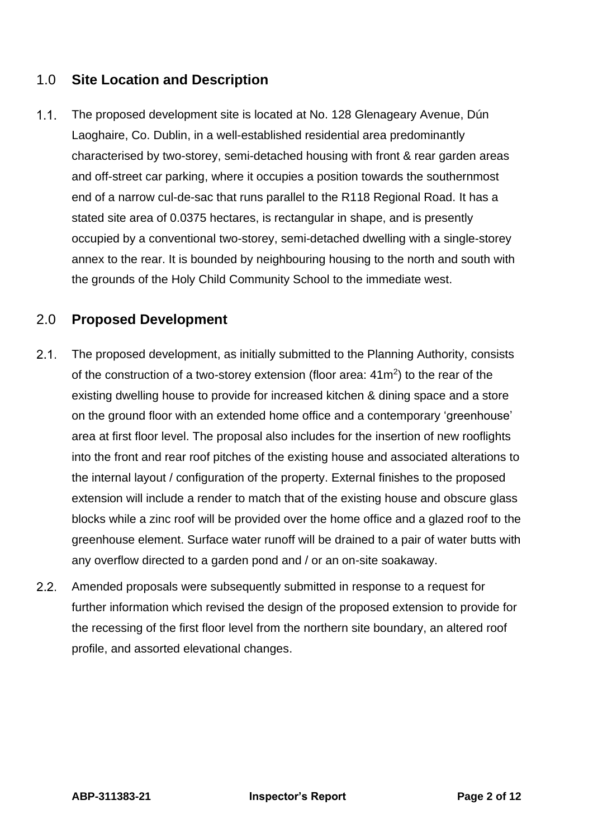## 1.0 **Site Location and Description**

 $1.1.$ The proposed development site is located at No. 128 Glenageary Avenue, Dún Laoghaire, Co. Dublin, in a well-established residential area predominantly characterised by two-storey, semi-detached housing with front & rear garden areas and off-street car parking, where it occupies a position towards the southernmost end of a narrow cul-de-sac that runs parallel to the R118 Regional Road. It has a stated site area of 0.0375 hectares, is rectangular in shape, and is presently occupied by a conventional two-storey, semi-detached dwelling with a single-storey annex to the rear. It is bounded by neighbouring housing to the north and south with the grounds of the Holy Child Community School to the immediate west.

## 2.0 **Proposed Development**

- $2.1.$ The proposed development, as initially submitted to the Planning Authority, consists of the construction of a two-storey extension (floor area:  $41m<sup>2</sup>$ ) to the rear of the existing dwelling house to provide for increased kitchen & dining space and a store on the ground floor with an extended home office and a contemporary 'greenhouse' area at first floor level. The proposal also includes for the insertion of new rooflights into the front and rear roof pitches of the existing house and associated alterations to the internal layout / configuration of the property. External finishes to the proposed extension will include a render to match that of the existing house and obscure glass blocks while a zinc roof will be provided over the home office and a glazed roof to the greenhouse element. Surface water runoff will be drained to a pair of water butts with any overflow directed to a garden pond and / or an on-site soakaway.
- $2.2<sub>1</sub>$ Amended proposals were subsequently submitted in response to a request for further information which revised the design of the proposed extension to provide for the recessing of the first floor level from the northern site boundary, an altered roof profile, and assorted elevational changes.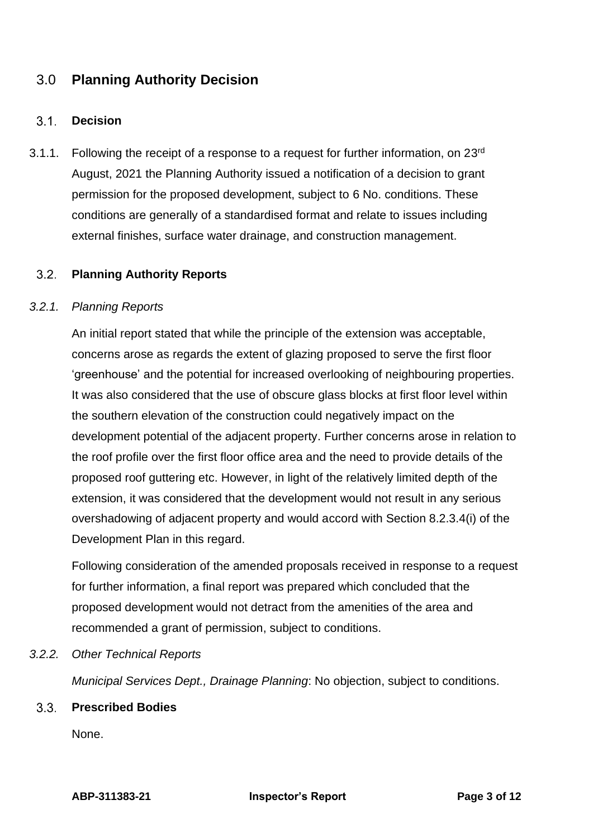# 3.0 **Planning Authority Decision**

### $3.1.$ **Decision**

3.1.1. Following the receipt of a response to a request for further information, on  $23<sup>rd</sup>$ August, 2021 the Planning Authority issued a notification of a decision to grant permission for the proposed development, subject to 6 No. conditions. These conditions are generally of a standardised format and relate to issues including external finishes, surface water drainage, and construction management.

### $3.2.$ **Planning Authority Reports**

### *3.2.1. Planning Reports*

An initial report stated that while the principle of the extension was acceptable, concerns arose as regards the extent of glazing proposed to serve the first floor 'greenhouse' and the potential for increased overlooking of neighbouring properties. It was also considered that the use of obscure glass blocks at first floor level within the southern elevation of the construction could negatively impact on the development potential of the adjacent property. Further concerns arose in relation to the roof profile over the first floor office area and the need to provide details of the proposed roof guttering etc. However, in light of the relatively limited depth of the extension, it was considered that the development would not result in any serious overshadowing of adjacent property and would accord with Section 8.2.3.4(i) of the Development Plan in this regard.

Following consideration of the amended proposals received in response to a request for further information, a final report was prepared which concluded that the proposed development would not detract from the amenities of the area and recommended a grant of permission, subject to conditions.

### *3.2.2. Other Technical Reports*

*Municipal Services Dept., Drainage Planning*: No objection, subject to conditions.

### $3.3.$ **Prescribed Bodies**

None.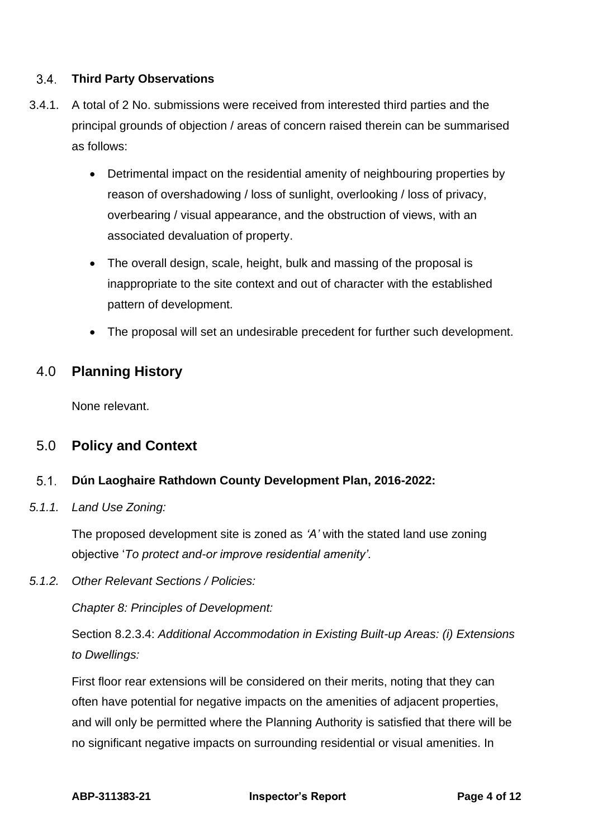### $3.4.$ **Third Party Observations**

- 3.4.1. A total of 2 No. submissions were received from interested third parties and the principal grounds of objection / areas of concern raised therein can be summarised as follows:
	- Detrimental impact on the residential amenity of neighbouring properties by reason of overshadowing / loss of sunlight, overlooking / loss of privacy, overbearing / visual appearance, and the obstruction of views, with an associated devaluation of property.
	- The overall design, scale, height, bulk and massing of the proposal is inappropriate to the site context and out of character with the established pattern of development.
	- The proposal will set an undesirable precedent for further such development.

## 4.0 **Planning History**

None relevant.

### 5.0 **Policy and Context**

### $5.1.$ **Dún Laoghaire Rathdown County Development Plan, 2016-2022:**

*5.1.1. Land Use Zoning:*

The proposed development site is zoned as *'A'* with the stated land use zoning objective '*To protect and-or improve residential amenity'.*

*5.1.2. Other Relevant Sections / Policies:*

*Chapter 8: Principles of Development:*

Section 8.2.3.4: *Additional Accommodation in Existing Built-up Areas: (i) Extensions to Dwellings:*

First floor rear extensions will be considered on their merits, noting that they can often have potential for negative impacts on the amenities of adjacent properties, and will only be permitted where the Planning Authority is satisfied that there will be no significant negative impacts on surrounding residential or visual amenities. In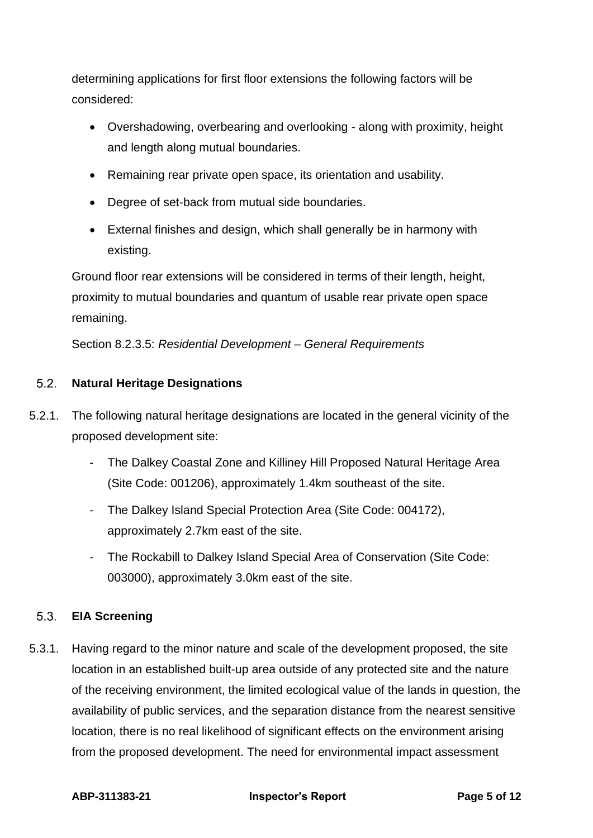determining applications for first floor extensions the following factors will be considered:

- Overshadowing, overbearing and overlooking along with proximity, height and length along mutual boundaries.
- Remaining rear private open space, its orientation and usability.
- Degree of set-back from mutual side boundaries.
- External finishes and design, which shall generally be in harmony with existing.

Ground floor rear extensions will be considered in terms of their length, height, proximity to mutual boundaries and quantum of usable rear private open space remaining.

Section 8.2.3.5: *Residential Development – General Requirements*

### $5.2.$ **Natural Heritage Designations**

- 5.2.1. The following natural heritage designations are located in the general vicinity of the proposed development site:
	- The Dalkey Coastal Zone and Killiney Hill Proposed Natural Heritage Area (Site Code: 001206), approximately 1.4km southeast of the site.
	- The Dalkey Island Special Protection Area (Site Code: 004172), approximately 2.7km east of the site.
	- The Rockabill to Dalkey Island Special Area of Conservation (Site Code: 003000), approximately 3.0km east of the site.

### $5.3.$ **EIA Screening**

5.3.1. Having regard to the minor nature and scale of the development proposed, the site location in an established built-up area outside of any protected site and the nature of the receiving environment, the limited ecological value of the lands in question, the availability of public services, and the separation distance from the nearest sensitive location, there is no real likelihood of significant effects on the environment arising from the proposed development. The need for environmental impact assessment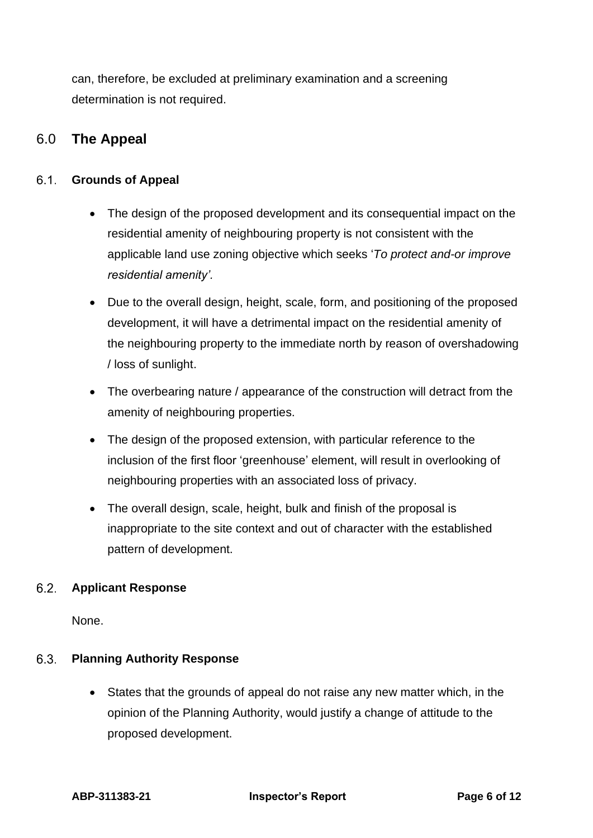can, therefore, be excluded at preliminary examination and a screening determination is not required.

# 6.0 **The Appeal**

### $6.1.$ **Grounds of Appeal**

- The design of the proposed development and its consequential impact on the residential amenity of neighbouring property is not consistent with the applicable land use zoning objective which seeks '*To protect and-or improve residential amenity'.*
- Due to the overall design, height, scale, form, and positioning of the proposed development, it will have a detrimental impact on the residential amenity of the neighbouring property to the immediate north by reason of overshadowing / loss of sunlight.
- The overbearing nature / appearance of the construction will detract from the amenity of neighbouring properties.
- The design of the proposed extension, with particular reference to the inclusion of the first floor 'greenhouse' element, will result in overlooking of neighbouring properties with an associated loss of privacy.
- The overall design, scale, height, bulk and finish of the proposal is inappropriate to the site context and out of character with the established pattern of development.

### $6.2.$ **Applicant Response**

None.

### $6.3.$ **Planning Authority Response**

• States that the grounds of appeal do not raise any new matter which, in the opinion of the Planning Authority, would justify a change of attitude to the proposed development.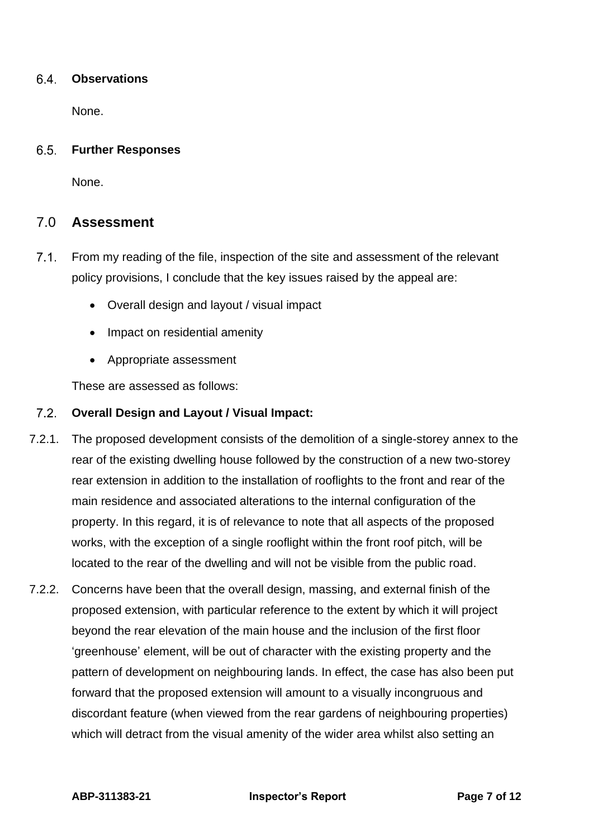### **Observations** 6.4.

None.

### $6.5.$ **Further Responses**

None.

## 7.0 **Assessment**

- $7.1.$ From my reading of the file, inspection of the site and assessment of the relevant policy provisions, I conclude that the key issues raised by the appeal are:
	- Overall design and layout / visual impact
	- Impact on residential amenity
	- Appropriate assessment

These are assessed as follows:

### **Overall Design and Layout / Visual Impact:**

- 7.2.1. The proposed development consists of the demolition of a single-storey annex to the rear of the existing dwelling house followed by the construction of a new two-storey rear extension in addition to the installation of rooflights to the front and rear of the main residence and associated alterations to the internal configuration of the property. In this regard, it is of relevance to note that all aspects of the proposed works, with the exception of a single rooflight within the front roof pitch, will be located to the rear of the dwelling and will not be visible from the public road.
- 7.2.2. Concerns have been that the overall design, massing, and external finish of the proposed extension, with particular reference to the extent by which it will project beyond the rear elevation of the main house and the inclusion of the first floor 'greenhouse' element, will be out of character with the existing property and the pattern of development on neighbouring lands. In effect, the case has also been put forward that the proposed extension will amount to a visually incongruous and discordant feature (when viewed from the rear gardens of neighbouring properties) which will detract from the visual amenity of the wider area whilst also setting an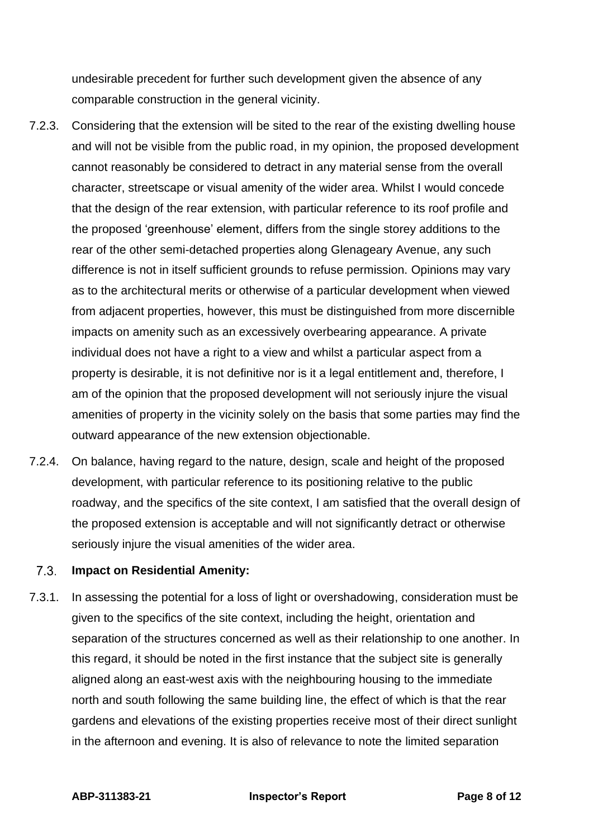undesirable precedent for further such development given the absence of any comparable construction in the general vicinity.

- 7.2.3. Considering that the extension will be sited to the rear of the existing dwelling house and will not be visible from the public road, in my opinion, the proposed development cannot reasonably be considered to detract in any material sense from the overall character, streetscape or visual amenity of the wider area. Whilst I would concede that the design of the rear extension, with particular reference to its roof profile and the proposed 'greenhouse' element, differs from the single storey additions to the rear of the other semi-detached properties along Glenageary Avenue, any such difference is not in itself sufficient grounds to refuse permission. Opinions may vary as to the architectural merits or otherwise of a particular development when viewed from adjacent properties, however, this must be distinguished from more discernible impacts on amenity such as an excessively overbearing appearance. A private individual does not have a right to a view and whilst a particular aspect from a property is desirable, it is not definitive nor is it a legal entitlement and, therefore, I am of the opinion that the proposed development will not seriously injure the visual amenities of property in the vicinity solely on the basis that some parties may find the outward appearance of the new extension objectionable.
- 7.2.4. On balance, having regard to the nature, design, scale and height of the proposed development, with particular reference to its positioning relative to the public roadway, and the specifics of the site context, I am satisfied that the overall design of the proposed extension is acceptable and will not significantly detract or otherwise seriously injure the visual amenities of the wider area.

### $7.3.$ **Impact on Residential Amenity:**

7.3.1. In assessing the potential for a loss of light or overshadowing, consideration must be given to the specifics of the site context, including the height, orientation and separation of the structures concerned as well as their relationship to one another. In this regard, it should be noted in the first instance that the subject site is generally aligned along an east-west axis with the neighbouring housing to the immediate north and south following the same building line, the effect of which is that the rear gardens and elevations of the existing properties receive most of their direct sunlight in the afternoon and evening. It is also of relevance to note the limited separation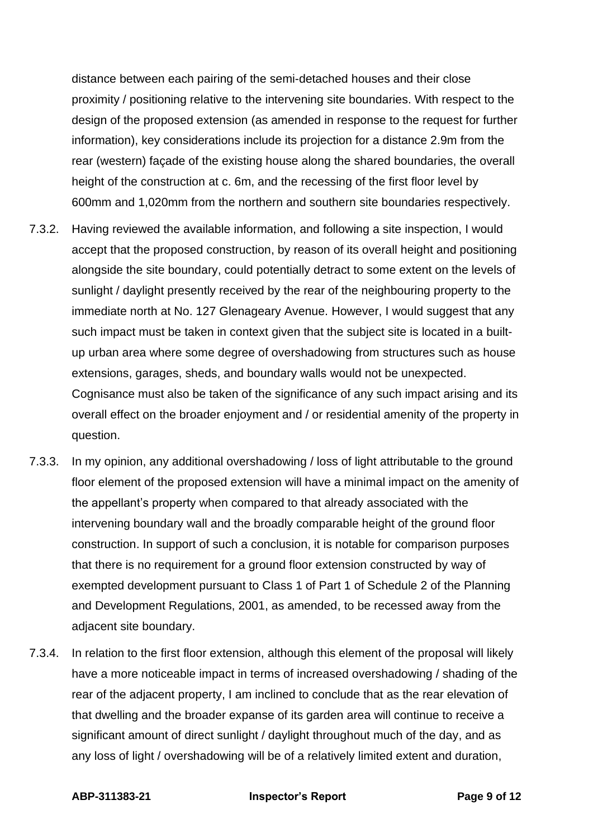distance between each pairing of the semi-detached houses and their close proximity / positioning relative to the intervening site boundaries. With respect to the design of the proposed extension (as amended in response to the request for further information), key considerations include its projection for a distance 2.9m from the rear (western) façade of the existing house along the shared boundaries, the overall height of the construction at c. 6m, and the recessing of the first floor level by 600mm and 1,020mm from the northern and southern site boundaries respectively.

- 7.3.2. Having reviewed the available information, and following a site inspection, I would accept that the proposed construction, by reason of its overall height and positioning alongside the site boundary, could potentially detract to some extent on the levels of sunlight / daylight presently received by the rear of the neighbouring property to the immediate north at No. 127 Glenageary Avenue. However, I would suggest that any such impact must be taken in context given that the subject site is located in a builtup urban area where some degree of overshadowing from structures such as house extensions, garages, sheds, and boundary walls would not be unexpected. Cognisance must also be taken of the significance of any such impact arising and its overall effect on the broader enjoyment and / or residential amenity of the property in question.
- 7.3.3. In my opinion, any additional overshadowing / loss of light attributable to the ground floor element of the proposed extension will have a minimal impact on the amenity of the appellant's property when compared to that already associated with the intervening boundary wall and the broadly comparable height of the ground floor construction. In support of such a conclusion, it is notable for comparison purposes that there is no requirement for a ground floor extension constructed by way of exempted development pursuant to Class 1 of Part 1 of Schedule 2 of the Planning and Development Regulations, 2001, as amended, to be recessed away from the adjacent site boundary.
- 7.3.4. In relation to the first floor extension, although this element of the proposal will likely have a more noticeable impact in terms of increased overshadowing / shading of the rear of the adjacent property, I am inclined to conclude that as the rear elevation of that dwelling and the broader expanse of its garden area will continue to receive a significant amount of direct sunlight / daylight throughout much of the day, and as any loss of light / overshadowing will be of a relatively limited extent and duration,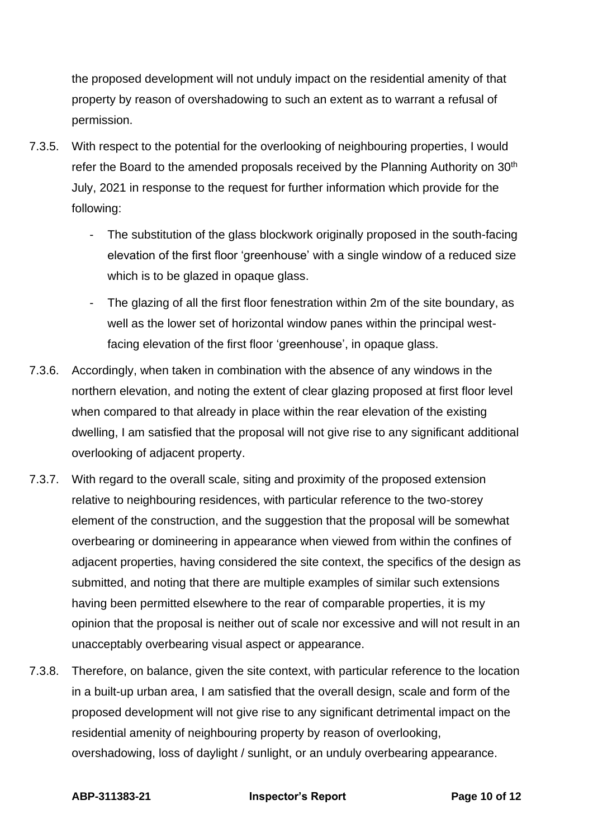the proposed development will not unduly impact on the residential amenity of that property by reason of overshadowing to such an extent as to warrant a refusal of permission.

- 7.3.5. With respect to the potential for the overlooking of neighbouring properties, I would refer the Board to the amended proposals received by the Planning Authority on 30<sup>th</sup> July, 2021 in response to the request for further information which provide for the following:
	- The substitution of the glass blockwork originally proposed in the south-facing elevation of the first floor 'greenhouse' with a single window of a reduced size which is to be glazed in opaque glass.
	- The glazing of all the first floor fenestration within 2m of the site boundary, as well as the lower set of horizontal window panes within the principal westfacing elevation of the first floor 'greenhouse', in opaque glass.
- 7.3.6. Accordingly, when taken in combination with the absence of any windows in the northern elevation, and noting the extent of clear glazing proposed at first floor level when compared to that already in place within the rear elevation of the existing dwelling, I am satisfied that the proposal will not give rise to any significant additional overlooking of adjacent property.
- 7.3.7. With regard to the overall scale, siting and proximity of the proposed extension relative to neighbouring residences, with particular reference to the two-storey element of the construction, and the suggestion that the proposal will be somewhat overbearing or domineering in appearance when viewed from within the confines of adjacent properties, having considered the site context, the specifics of the design as submitted, and noting that there are multiple examples of similar such extensions having been permitted elsewhere to the rear of comparable properties, it is my opinion that the proposal is neither out of scale nor excessive and will not result in an unacceptably overbearing visual aspect or appearance.
- 7.3.8. Therefore, on balance, given the site context, with particular reference to the location in a built-up urban area, I am satisfied that the overall design, scale and form of the proposed development will not give rise to any significant detrimental impact on the residential amenity of neighbouring property by reason of overlooking, overshadowing, loss of daylight / sunlight, or an unduly overbearing appearance.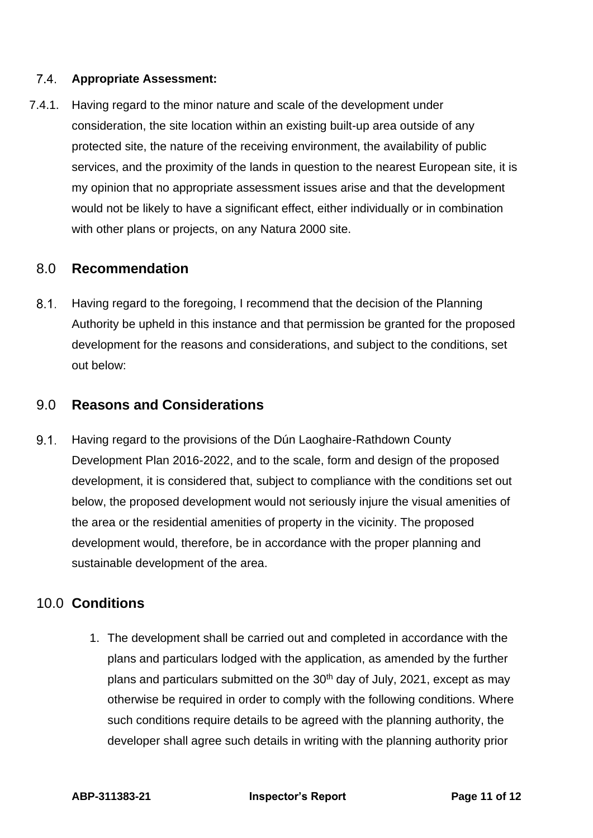### $7.4.$ **Appropriate Assessment:**

7.4.1. Having regard to the minor nature and scale of the development under consideration, the site location within an existing built-up area outside of any protected site, the nature of the receiving environment, the availability of public services, and the proximity of the lands in question to the nearest European site, it is my opinion that no appropriate assessment issues arise and that the development would not be likely to have a significant effect, either individually or in combination with other plans or projects, on any Natura 2000 site.

## 8.0 **Recommendation**

 $8.1.$ Having regard to the foregoing, I recommend that the decision of the Planning Authority be upheld in this instance and that permission be granted for the proposed development for the reasons and considerations, and subject to the conditions, set out below:

## 9.0 **Reasons and Considerations**

 $9.1.$ Having regard to the provisions of the Dún Laoghaire-Rathdown County Development Plan 2016-2022, and to the scale, form and design of the proposed development, it is considered that, subject to compliance with the conditions set out below, the proposed development would not seriously injure the visual amenities of the area or the residential amenities of property in the vicinity. The proposed development would, therefore, be in accordance with the proper planning and sustainable development of the area.

## 10.0 **Conditions**

1. The development shall be carried out and completed in accordance with the plans and particulars lodged with the application, as amended by the further plans and particulars submitted on the 30<sup>th</sup> day of July, 2021, except as may otherwise be required in order to comply with the following conditions. Where such conditions require details to be agreed with the planning authority, the developer shall agree such details in writing with the planning authority prior